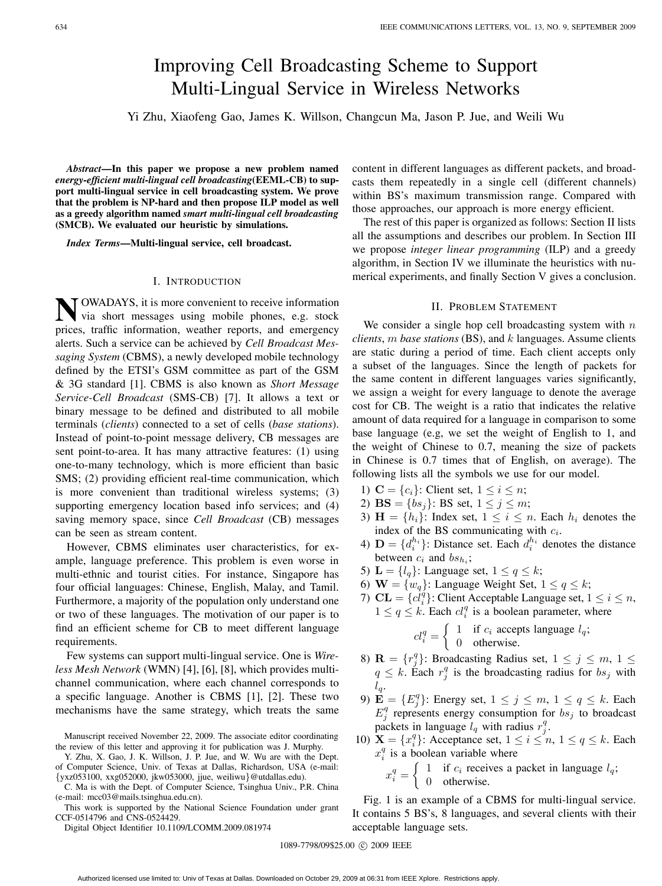# Improving Cell Broadcasting Scheme to Support Multi-Lingual Service in Wireless Networks

Yi Zhu, Xiaofeng Gao, James K. Willson, Changcun Ma, Jason P. Jue, and Weili Wu

*Abstract***—In this paper we propose a new problem named** *energy-efficient multi-lingual cell broadcasting***(EEML-CB) to support multi-lingual service in cell broadcasting system. We prove that the problem is NP-hard and then propose ILP model as well as a greedy algorithm named** *smart multi-lingual cell broadcasting* **(SMCB). We evaluated our heuristic by simulations.**

*Index Terms***—Multi-lingual service, cell broadcast.**

### I. INTRODUCTION

**N**OWADAYS, it is more convenient to receive information via short messages using mobile phones, e.g. stock prices, traffic information, weather reports, and emergency alerts. Such a service can be achieved by *Cell Broadcast Messaging System* (CBMS), a newly developed mobile technology defined by the ETSI's GSM committee as part of the GSM & 3G standard [1]. CBMS is also known as *Short Message Service-Cell Broadcast* (SMS-CB) [7]. It allows a text or binary message to be defined and distributed to all mobile terminals (*clients*) connected to a set of cells (*base stations*). Instead of point-to-point message delivery, CB messages are sent point-to-area. It has many attractive features: (1) using one-to-many technology, which is more efficient than basic SMS; (2) providing efficient real-time communication, which is more convenient than traditional wireless systems; (3) supporting emergency location based info services; and (4) saving memory space, since *Cell Broadcast* (CB) messages can be seen as stream content.

However, CBMS eliminates user characteristics, for example, language preference. This problem is even worse in multi-ethnic and tourist cities. For instance, Singapore has four official languages: Chinese, English, Malay, and Tamil. Furthermore, a majority of the population only understand one or two of these languages. The motivation of our paper is to find an efficient scheme for CB to meet different language requirements.

Few systems can support multi-lingual service. One is *Wireless Mesh Network* (WMN) [4], [6], [8], which provides multichannel communication, where each channel corresponds to a specific language. Another is CBMS [1], [2]. These two mechanisms have the same strategy, which treats the same

Y. Zhu, X. Gao, J. K. Willson, J. P. Jue, and W. Wu are with the Dept. of Computer Science, Univ. of Texas at Dallas, Richardson, USA (e-mail: {yxz053100, xxg052000, jkw053000, jjue, weiliwu}@utdallas.edu).

C. Ma is with the Dept. of Computer Science, Tsinghua Univ., P.R. China (e-mail: mcc03@mails.tsinghua.edu.cn).

This work is supported by the National Science Foundation under grant CCF-0514796 and CNS-0524429.

Digital Object Identifier 10.1109/LCOMM.2009.081974

content in different languages as different packets, and broadcasts them repeatedly in a single cell (different channels) within BS's maximum transmission range. Compared with those approaches, our approach is more energy efficient.

The rest of this paper is organized as follows: Section II lists all the assumptions and describes our problem. In Section III we propose *integer linear programming* (ILP) and a greedy algorithm, in Section IV we illuminate the heuristics with numerical experiments, and finally Section V gives a conclusion.

## II. PROBLEM STATEMENT

We consider a single hop cell broadcasting system with  $n$ *clients*, m *base stations* (BS), and k languages. Assume clients are static during a period of time. Each client accepts only a subset of the languages. Since the length of packets for the same content in different languages varies significantly, we assign a weight for every language to denote the average cost for CB. The weight is a ratio that indicates the relative amount of data required for a language in comparison to some base language (e.g, we set the weight of English to 1, and the weight of Chinese to 0.7, meaning the size of packets in Chinese is 0.7 times that of English, on average). The following lists all the symbols we use for our model.

- 1)  $C = \{c_i\}$ : Client set,  $1 \le i \le n$ ;
- 2) **BS** = { $bs<sub>j</sub>$ }: **BS** set,  $1 \le j \le m$ ;
- 3)  $\mathbf{H} = \{h_i\}$ : Index set,  $1 \leq i \leq n$ . Each  $h_i$  denotes the index of the BS communicating with c*i*.
- 4)  $\mathbf{D} = \{d_i^{h_i}\}\$ : Distance set. Each  $d_i^{h_i}$  denotes the distance between  $c_i$  and  $bs_{h_i}$ ;
- 5) **L** =  $\{l_q\}$ : Language set,  $1 \le q \le k$ ;
- 6) **W** =  $\{w_q\}$ : Language Weight Set,  $1 \le q \le k$ ;
- 7) **CL** = { $cl_i^{\hat{q}}$ }: Client Acceptable Language set,  $1 \leq i \leq n$ ,  $1 \le q \le k$ . Each  $cl_i^q$  is a boolean parameter, where

$$
cl_i^q = \begin{cases} 1 & \text{if } c_i \text{ accepts language } l_q; \\ 0 & \text{otherwise.} \end{cases}
$$

- 8) **R** =  $\{r_j^q\}$ : Broadcasting Radius set,  $1 \le j \le m$ ,  $1 \le$  $q \leq k$ . Each  $r_j^q$  is the broadcasting radius for  $bs_j$  with l*q*.
- 9)  $\mathbf{E} = \{E_j^q\}$ : Energy set,  $1 \leq j \leq m, 1 \leq q \leq k$ . Each  $E_j^q$  represents energy consumption for  $bs_j$  to broadcast packets in language  $l_q$  with radius  $r_j^q$ .
- 10)  $\mathbf{X} = \{x_i^q\}$ : Acceptance set,  $1 \le i \le n$ ,  $1 \le q \le k$ . Each  $x_i^q$  is a boolean variable where
	- $x_i^q = \begin{cases} 1 & \text{if } c_i \text{ receives a packet in language } l_q; \\ 0 & \text{otherwise} \end{cases}$ 0 otherwise.

Fig. 1 is an example of a CBMS for multi-lingual service. It contains 5 BS's, 8 languages, and several clients with their acceptable language sets.

1089-7798/09\$25.00 © 2009 IEEE

Manuscript received November 22, 2009. The associate editor coordinating the review of this letter and approving it for publication was J. Murphy.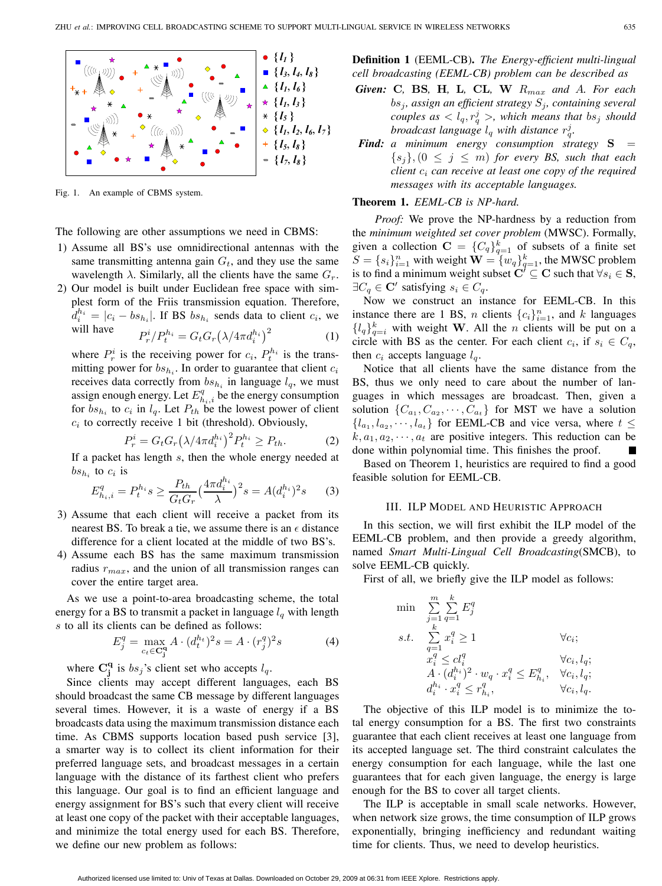

Fig. 1. An example of CBMS system.

The following are other assumptions we need in CBMS:

- 1) Assume all BS's use omnidirectional antennas with the same transmitting antenna gain  $G_t$ , and they use the same wavelength  $\lambda$ . Similarly, all the clients have the same  $G_r$ .
- 2) Our model is built under Euclidean free space with simplest form of the Friis transmission equation. Therefore,  $d_i^{h_i} = |c_i - bs_{h_i}|$ . If BS  $bs_{h_i}$  sends data to client  $c_i$ , we will have

$$
\text{ave} \qquad P_r^i / P_t^{h_i} = G_t G_r \left(\lambda / 4\pi d_i^{h_i}\right)^2 \tag{1}
$$

where  $P_r^i$  is the receiving power for  $c_i$ ,  $P_t^{h_i}$  is the transmitting power for  $bs_{h_i}$ . In order to guarantee that client  $c_i$ receives data correctly from  $bs_{h_i}$  in language  $l_q$ , we must assign enough energy. Let  $E_{h_i,i}^q$  be the energy consumption for  $bs_{h_i}$  to  $c_i$  in  $l_q$ . Let  $P_{th}$  be the lowest power of client  $c_i$  to correctly receive 1 bit (threshold). Obviously,

$$
P_r^i = G_t G_r \left(\lambda / 4 \pi d_i^{h_i}\right)^2 P_t^{h_i} \ge P_{th}.
$$
 (2)

If a packet has length s, then the whole energy needed at  $bs_{h_i}$  to  $c_i$  is

$$
E_{h_i,i}^q = P_t^{h_i} s \ge \frac{P_{th}}{G_t G_r} \left(\frac{4\pi d_i^{h_i}}{\lambda}\right)^2 s = A(d_i^{h_i})^2 s \qquad (3)
$$

- 3) Assume that each client will receive a packet from its nearest BS. To break a tie, we assume there is an  $\epsilon$  distance difference for a client located at the middle of two BS's.
- 4) Assume each BS has the same maximum transmission radius r*max*, and the union of all transmission ranges can cover the entire target area.

As we use a point-to-area broadcasting scheme, the total energy for a BS to transmit a packet in language  $l_q$  with length s to all its clients can be defined as follows:

$$
E_j^q = \max_{c_t \in \mathbf{C}_j^q} A \cdot (d_t^{h_t})^2 s = A \cdot (r_j^q)^2 s \tag{4}
$$

where  $\mathbf{C}_{\mathbf{j}}^{\mathbf{q}}$  is  $bs_j$ 's client set who accepts  $l_q$ .

Since clients may accept different languages, each BS should broadcast the same CB message by different languages several times. However, it is a waste of energy if a BS broadcasts data using the maximum transmission distance each time. As CBMS supports location based push service [3], a smarter way is to collect its client information for their preferred language sets, and broadcast messages in a certain language with the distance of its farthest client who prefers this language. Our goal is to find an efficient language and energy assignment for BS's such that every client will receive at least one copy of the packet with their acceptable languages, and minimize the total energy used for each BS. Therefore, we define our new problem as follows:

**Definition 1** (EEML-CB)**.** *The Energy-efficient multi-lingual cell broadcasting (EEML-CB) problem can be described as*

- *Given:* **C***,* **BS***,* **H***,* **L***,* **CL***,* **W** R*max and* A*. For each* bs*j, assign an efficient strategy* S*j, containing several couples as*  $\langle l_q, r_q^j \rangle$ , which means that  $bs_j$  should *broadcast language*  $l_q$  *with distance*  $r_q^j$ .
- *Find: a minimum energy consumption strategy* $S =$  ${s_j}, (0 \leq j \leq m)$  *for every BS, such that each client* c*<sup>i</sup> can receive at least one copy of the required messages with its acceptable languages.*

# **Theorem 1.** *EEML-CB is NP-hard.*

*Proof:* We prove the NP-hardness by a reduction from the *minimum weighted set cover problem* (MWSC). Formally, given a collection  $C = \{C_q\}_{q=1}^k$  of subsets of a finite set  $S = \{s_i\}_{i=1}^n$  with weight  $\mathbf{W} = \{w_q\}_{q=1}^k$ , the MWSC problem is to find a minimum weight subset  $C' \subseteq C$  such that  $\forall s_i \in S$ ,  $\exists C_q \in \mathbf{C}'$  satisfying  $s_i \in C_q$ .

Now we construct an instance for EEML-CB. In this instance there are 1 BS, *n* clients  ${c_i}_{i=1}^n$ , and *k* languages  ${l_q}_{q=i}^k$  with weight **W**. All the *n* clients will be put on a circle with BS as the center. For each client  $c_i$ , if  $s_i \in C_q$ , then  $c_i$  accepts language  $l_q$ .

Notice that all clients have the same distance from the BS, thus we only need to care about the number of languages in which messages are broadcast. Then, given a solution  $\{C_{a_1}, C_{a_2}, \cdots, C_{a_t}\}$  for MST we have a solution  ${l_{a_1}, l_{a_2}, \cdots, l_{a_t}}$  for EEML-CB and vice versa, where  $t \leq$  $k, a_1, a_2, \dots, a_t$  are positive integers. This reduction can be done within polynomial time. This finishes the proof.

Based on Theorem 1, heuristics are required to find a good feasible solution for EEML-CB.

## III. ILP MODEL AND HEURISTIC APPROACH

In this section, we will first exhibit the ILP model of the EEML-CB problem, and then provide a greedy algorithm, named *Smart Multi-Lingual Cell Broadcasting*(SMCB), to solve EEML-CB quickly.

First of all, we briefly give the ILP model as follows:

$$
\begin{array}{ll} \min & \sum\limits_{j=1}^{m}\sum\limits_{q=1}^{k}E_{j}^{q} \\ s.t. & \sum\limits_{q=1}^{k}x_{i}^{q}\geq1 & \forall c_{i}; \\ & x_{i}^{q}\leq cl_{i}^{q} & \forall c_{i}, l_{q}; \\ & A\cdot(d_{i}^{h_{i}})^{2}\cdot w_{q}\cdot x_{i}^{q}\leq E_{h_{i}}^{q}, & \forall c_{i}, l_{q}; \\ & d_{i}^{h_{i}}\cdot x_{i}^{q}\leq r_{h_{i}}^{q}, & \forall c_{i}, l_{q}. \end{array}
$$

The objective of this ILP model is to minimize the total energy consumption for a BS. The first two constraints guarantee that each client receives at least one language from its accepted language set. The third constraint calculates the energy consumption for each language, while the last one guarantees that for each given language, the energy is large enough for the BS to cover all target clients.

The ILP is acceptable in small scale networks. However, when network size grows, the time consumption of ILP grows exponentially, bringing inefficiency and redundant waiting time for clients. Thus, we need to develop heuristics.